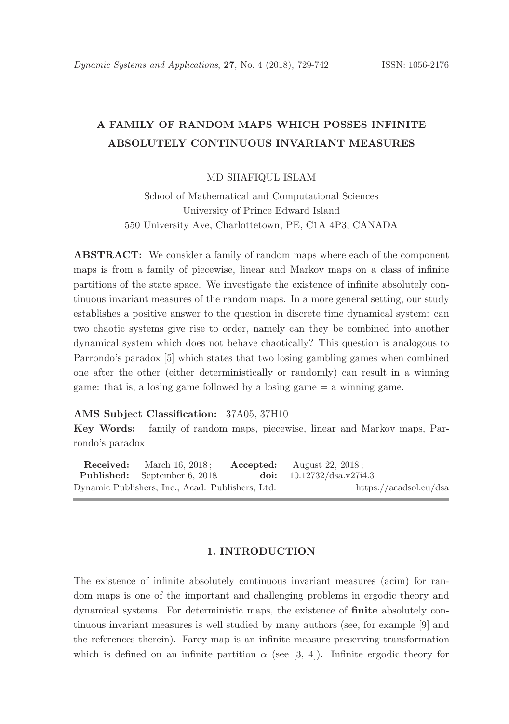# A FAMILY OF RANDOM MAPS WHICH POSSES INFINITE ABSOLUTELY CONTINUOUS INVARIANT MEASURES

### MD SHAFIQUL ISLAM

School of Mathematical and Computational Sciences University of Prince Edward Island 550 University Ave, Charlottetown, PE, C1A 4P3, CANADA

ABSTRACT: We consider a family of random maps where each of the component maps is from a family of piecewise, linear and Markov maps on a class of infinite partitions of the state space. We investigate the existence of infinite absolutely continuous invariant measures of the random maps. In a more general setting, our study establishes a positive answer to the question in discrete time dynamical system: can two chaotic systems give rise to order, namely can they be combined into another dynamical system which does not behave chaotically? This question is analogous to Parrondo's paradox [5] which states that two losing gambling games when combined one after the other (either deterministically or randomly) can result in a winning game: that is, a losing game followed by a losing game = a winning game.

### AMS Subject Classification: 37A05, 37H10

Key Words: family of random maps, piecewise, linear and Markov maps, Parrondo's paradox

**Received:** March 16, 2018; **Accepted:** August 22, 2018; Published: September 6, 2018. doi: 10.12732/dsa.v27i4.3 Dynamic Publishers, Inc., Acad. Publishers, Ltd. https://acadsol.eu/dsa

#### 1. INTRODUCTION

The existence of infinite absolutely continuous invariant measures (acim) for random maps is one of the important and challenging problems in ergodic theory and dynamical systems. For deterministic maps, the existence of finite absolutely continuous invariant measures is well studied by many authors (see, for example [9] and the references therein). Farey map is an infinite measure preserving transformation which is defined on an infinite partition  $\alpha$  (see [3, 4]). Infinite ergodic theory for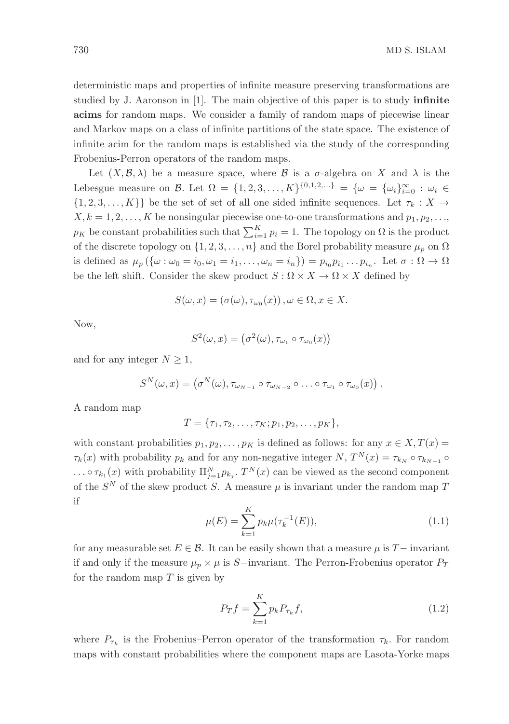deterministic maps and properties of infinite measure preserving transformations are studied by J. Aaronson in [1]. The main objective of this paper is to study infinite acims for random maps. We consider a family of random maps of piecewise linear and Markov maps on a class of infinite partitions of the state space. The existence of infinite acim for the random maps is established via the study of the corresponding Frobenius-Perron operators of the random maps.

Let  $(X, \mathcal{B}, \lambda)$  be a measure space, where  $\mathcal{B}$  is a  $\sigma$ -algebra on X and  $\lambda$  is the Lebesgue measure on B. Let  $\Omega = \{1, 2, 3, ..., K\}^{\{0, 1, 2, ...\}} = \{\omega = \{\omega_i\}_{i=0}^{\infty} : \omega_i \in$  $\{1, 2, 3, \ldots, K\}\}\)$  be the set of set of all one sided infinite sequences. Let  $\tau_k : X \to Y$  $X, k = 1, 2, \ldots, K$  be nonsingular piecewise one-to-one transformations and  $p_1, p_2, \ldots$  $p_K$  be constant probabilities such that  $\sum_{i=1}^K p_i = 1$ . The topology on  $\Omega$  is the product of the discrete topology on  $\{1, 2, 3, \ldots, n\}$  and the Borel probability measure  $\mu_p$  on  $\Omega$ is defined as  $\mu_p(\{\omega : \omega_0 = i_0, \omega_1 = i_1, \ldots, \omega_n = i_n\}) = p_{i_0}p_{i_1}\ldots p_{i_n}$ . Let  $\sigma : \Omega \to \Omega$ be the left shift. Consider the skew product  $S : \Omega \times X \to \Omega \times X$  defined by

$$
S(\omega, x) = (\sigma(\omega), \tau_{\omega_0}(x)), \omega \in \Omega, x \in X.
$$

Now,

$$
S^2(\omega, x) = (\sigma^2(\omega), \tau_{\omega_1} \circ \tau_{\omega_0}(x))
$$

and for any integer  $N \geq 1$ ,

$$
S^N(\omega, x) = (\sigma^N(\omega), \tau_{\omega_{N-1}} \circ \tau_{\omega_{N-2}} \circ \ldots \circ \tau_{\omega_1} \circ \tau_{\omega_0}(x)).
$$

A random map

$$
T = \{\tau_1, \tau_2, \ldots, \tau_K; p_1, p_2, \ldots, p_K\},\
$$

with constant probabilities  $p_1, p_2, \ldots, p_K$  is defined as follows: for any  $x \in X, T(x) =$  $\tau_k(x)$  with probability  $p_k$  and for any non-negative integer  $N$ ,  $T^N(x) = \tau_{k_N} \circ \tau_{k_{N-1}} \circ$  $\ldots \circ \tau_{k_1}(x)$  with probability  $\Pi_{j=1}^N p_{k_j}$ .  $T^N(x)$  can be viewed as the second component of the  $S<sup>N</sup>$  of the skew product S. A measure  $\mu$  is invariant under the random map T if

$$
\mu(E) = \sum_{k=1}^{K} p_k \mu(\tau_k^{-1}(E)), \tag{1.1}
$$

for any measurable set  $E \in \mathcal{B}$ . It can be easily shown that a measure  $\mu$  is T− invariant if and only if the measure  $\mu_p \times \mu$  is S−invariant. The Perron-Frobenius operator  $P_T$ for the random map  $T$  is given by

$$
P_T f = \sum_{k=1}^{K} p_k P_{\tau_k} f,
$$
\n(1.2)

where  $P_{\tau_k}$  is the Frobenius–Perron operator of the transformation  $\tau_k$ . For random maps with constant probabilities where the component maps are Lasota-Yorke maps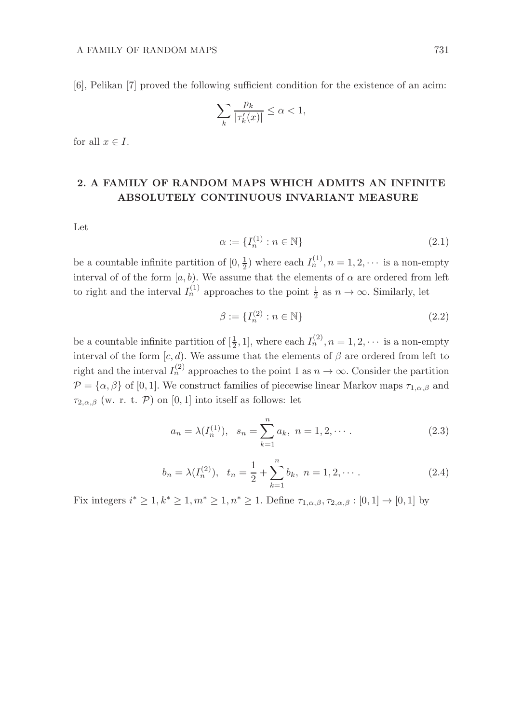[6], Pelikan [7] proved the following sufficient condition for the existence of an acim:

$$
\sum_{k} \frac{p_k}{|\tau'_k(x)|} \le \alpha < 1,
$$

for all  $x \in I$ .

## 2. A FAMILY OF RANDOM MAPS WHICH ADMITS AN INFINITE ABSOLUTELY CONTINUOUS INVARIANT MEASURE

Let

$$
\alpha := \{I_n^{(1)} : n \in \mathbb{N}\}\tag{2.1}
$$

be a countable infinite partition of  $[0, \frac{1}{2})$  where each  $I_n^{(1)}$ ,  $n = 1, 2, \cdots$  is a non-empty interval of of the form  $[a, b)$ . We assume that the elements of  $\alpha$  are ordered from left to right and the interval  $I_n^{(1)}$  approaches to the point  $\frac{1}{2}$  as  $n \to \infty$ . Similarly, let

$$
\beta := \{I_n^{(2)} : n \in \mathbb{N}\}\tag{2.2}
$$

be a countable infinite partition of  $[\frac{1}{2}, 1]$ , where each  $I_n^{(2)}$ ,  $n = 1, 2, \cdots$  is a non-empty interval of the form  $[c, d)$ . We assume that the elements of  $\beta$  are ordered from left to right and the interval  $I_n^{(2)}$  approaches to the point 1 as  $n \to \infty$ . Consider the partition  $\mathcal{P} = {\alpha, \beta}$  of [0, 1]. We construct families of piecewise linear Markov maps  $\tau_{1,\alpha,\beta}$  and  $\tau_{2,\alpha,\beta}$  (w. r. t. P) on [0, 1] into itself as follows: let

$$
a_n = \lambda(I_n^{(1)}), \quad s_n = \sum_{k=1}^n a_k, \quad n = 1, 2, \cdots.
$$
 (2.3)

$$
b_n = \lambda(I_n^{(2)}), \quad t_n = \frac{1}{2} + \sum_{k=1}^n b_k, \quad n = 1, 2, \cdots.
$$
 (2.4)

Fix integers  $i^* \geq 1, k^* \geq 1, m^* \geq 1, n^* \geq 1$ . Define  $\tau_{1,\alpha,\beta}, \tau_{2,\alpha,\beta} : [0,1] \to [0,1]$  by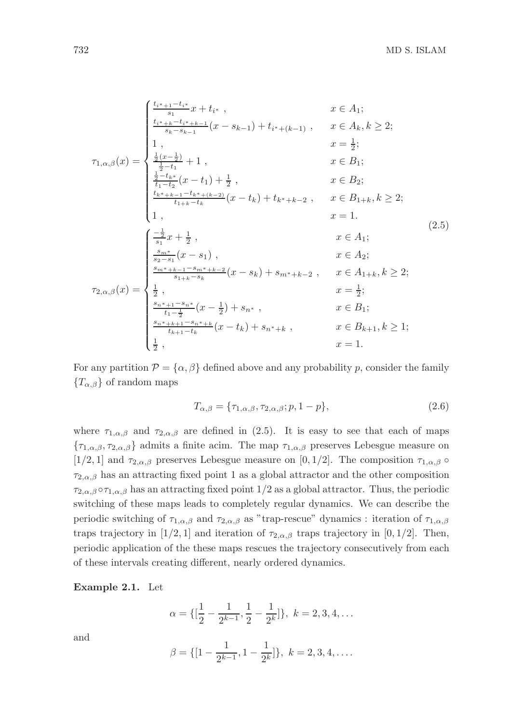$$
\tau_{1,\alpha,\beta}(x) = \begin{cases}\n\frac{t_{i^{*}+1}-t_{i^{*}}}{s_{1}}x + t_{i^{*}} , & x \in A_{1}; \\
\frac{t_{i^{*}+k}-t_{i^{*}+k-1}}{s_{k}-s_{k-1}}(x - s_{k-1}) + t_{i^{*}+(k-1)} , & x \in A_{k}, k \geq 2; \\
1, & x = \frac{1}{2}; \\
\frac{1}{2} & x = \frac{1}{2}; \\
\frac{1}{2} & x \in B_{1}; \\
\frac{1}{2} & -t_{k} \leq x \leq (x - t_{1}) + \frac{1}{2} , & x \in B_{2}; \\
\frac{t_{k^{*}+k-1}-t_{k^{*}+(k-2)}}{t_{1+k}-t_{k}}(x - t_{k}) + t_{k^{*}+k-2} , & x \in B_{1+k}, k \geq 2; \\
1, & x = 1. \\
\frac{1}{s_{1}} & x \in A_{1}; \\
\frac{s_{m^{*}}}{s_{1}}x + \frac{1}{2} , & x \in A_{1}; \\
\frac{s_{m^{*}}}{s_{2}-s_{1}}(x - s_{1}) , & x \in A_{2}; \\
\frac{s_{m^{*}+k-1}-s_{m^{*}+k-2}}{s_{1+k}-s_{k}}(x - s_{k}) + s_{m^{*}+k-2} , & x \in A_{1+k}, k \geq 2; \\
\frac{1}{2} & x = \frac{1}{2}; \\
\frac{s_{n^{*}+k-1}-s_{n^{*}+k-2}}{t_{1} - \frac{1}{2}}(x - \frac{1}{2}) + s_{n^{*}} , & x \in B_{1}; \\
\frac{s_{n^{*}+k+1}-s_{n^{*}+k}}{t_{k+1}-t_{k}}(x - t_{k}) + s_{n^{*}+k} , & x \in B_{k+1}, k \geq 1; \\
\frac{1}{2} & x = 1.\n\end{cases}
$$

For any partition  $\mathcal{P} = {\alpha, \beta}$  defined above and any probability p, consider the family  ${T_{\alpha,\beta}}$  of random maps

$$
T_{\alpha,\beta} = \{\tau_{1,\alpha,\beta}, \tau_{2,\alpha,\beta}; p, 1-p\},\tag{2.6}
$$

where  $\tau_{1,\alpha,\beta}$  and  $\tau_{2,\alpha,\beta}$  are defined in (2.5). It is easy to see that each of maps  ${\tau_{1,\alpha,\beta},\tau_{2,\alpha,\beta}}$  admits a finite acim. The map  $\tau_{1,\alpha,\beta}$  preserves Lebesgue measure on [1/2, 1] and  $\tau_{2,\alpha,\beta}$  preserves Lebesgue measure on [0, 1/2]. The composition  $\tau_{1,\alpha,\beta}$   $\circ$  $\tau_{2,\alpha,\beta}$  has an attracting fixed point 1 as a global attractor and the other composition  $\tau_{2,\alpha,\beta} \circ \tau_{1,\alpha,\beta}$  has an attracting fixed point  $1/2$  as a global attractor. Thus, the periodic switching of these maps leads to completely regular dynamics. We can describe the periodic switching of  $\tau_{1,\alpha,\beta}$  and  $\tau_{2,\alpha,\beta}$  as "trap-rescue" dynamics : iteration of  $\tau_{1,\alpha,\beta}$ traps trajectory in [1/2, 1] and iteration of  $\tau_{2,\alpha,\beta}$  traps trajectory in [0, 1/2]. Then, periodic application of the these maps rescues the trajectory consecutively from each of these intervals creating different, nearly ordered dynamics.

Example 2.1. Let

$$
\alpha = \{ \left[\frac{1}{2} - \frac{1}{2^{k-1}}, \frac{1}{2} - \frac{1}{2^k} \right] \}, \ k = 2, 3, 4, \dots
$$

and

$$
\beta = \{ [1 - \frac{1}{2^{k-1}}, 1 - \frac{1}{2^k}] \}, \ k = 2, 3, 4, \dots
$$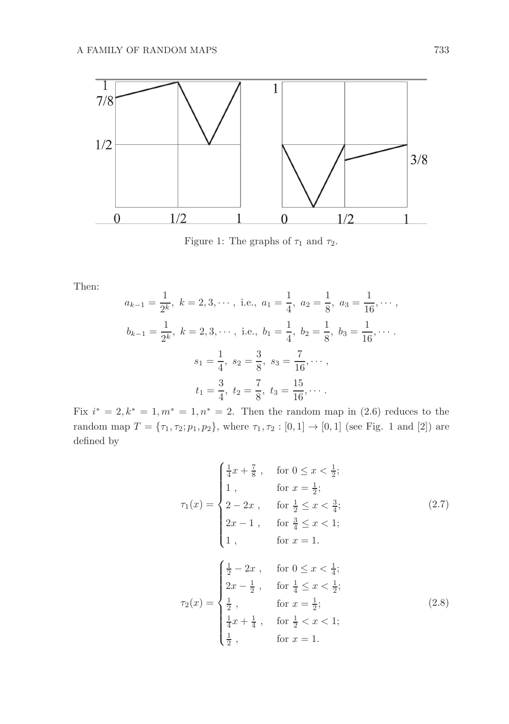

Figure 1: The graphs of  $\tau_1$  and  $\tau_2$ .

Then:

$$
a_{k-1} = \frac{1}{2^k}, \ k = 2, 3, \cdots, \text{ i.e., } a_1 = \frac{1}{4}, \ a_2 = \frac{1}{8}, \ a_3 = \frac{1}{16}, \cdots,
$$
  

$$
b_{k-1} = \frac{1}{2^k}, \ k = 2, 3, \cdots, \text{ i.e., } b_1 = \frac{1}{4}, \ b_2 = \frac{1}{8}, \ b_3 = \frac{1}{16}, \cdots.
$$
  

$$
s_1 = \frac{1}{4}, \ s_2 = \frac{3}{8}, \ s_3 = \frac{7}{16}, \cdots,
$$
  

$$
t_1 = \frac{3}{4}, \ t_2 = \frac{7}{8}, \ t_3 = \frac{15}{16}, \cdots.
$$

Fix  $i^* = 2, k^* = 1, m^* = 1, n^* = 2$ . Then the random map in (2.6) reduces to the random map  $T = {\tau_1, \tau_2; p_1, p_2}$ , where  $\tau_1, \tau_2 : [0, 1] \to [0, 1]$  (see Fig. 1 and [2]) are defined by

$$
\tau_1(x) = \begin{cases}\n\frac{1}{4}x + \frac{7}{8}, & \text{for } 0 \le x < \frac{1}{2}; \\
1, & \text{for } x = \frac{1}{2}; \\
2 - 2x, & \text{for } \frac{1}{2} \le x < \frac{3}{4}; \\
2x - 1, & \text{for } \frac{3}{4} \le x < 1; \\
1, & \text{for } x = 1.\n\end{cases}
$$
\n(2.7)\n
$$
\tau_2(x) = \begin{cases}\n\frac{1}{2} - 2x, & \text{for } 0 \le x < \frac{1}{4}; \\
2x - \frac{1}{2}, & \text{for } \frac{1}{4} \le x < \frac{1}{2}; \\
\frac{1}{2}, & \text{for } x = \frac{1}{2}; \\
\frac{1}{4}x + \frac{1}{4}, & \text{for } \frac{1}{2} < x < 1; \\
\frac{1}{2}, & \text{for } x = 1.\n\end{cases}
$$
\n(2.8)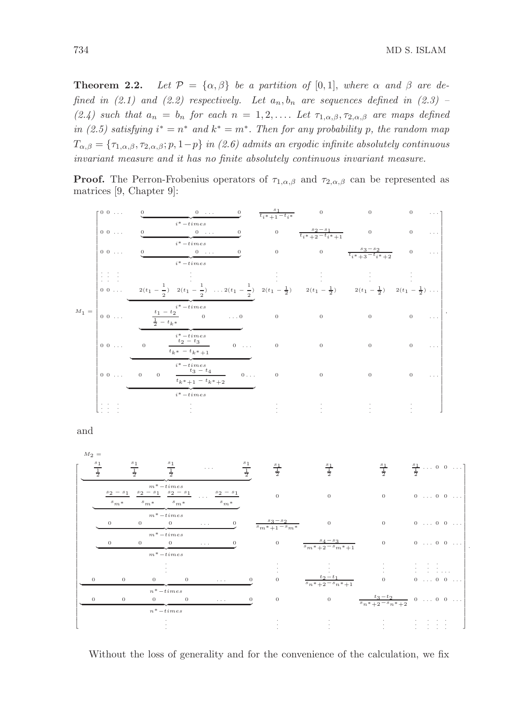**Theorem 2.2.** Let  $\mathcal{P} = {\alpha, \beta}$  be a partition of [0,1], where  $\alpha$  and  $\beta$  are defined in (2.1) and (2.2) respectively. Let  $a_n, b_n$  are sequences defined in (2.3) – (2.4) such that  $a_n = b_n$  for each  $n = 1, 2, \ldots$  Let  $\tau_{1,\alpha,\beta}, \tau_{2,\alpha,\beta}$  are maps defined in (2.5) satisfying  $i^* = n^*$  and  $k^* = m^*$ . Then for any probability p, the random map  $T_{\alpha,\beta} = \{\tau_{1,\alpha,\beta},\tau_{2,\alpha,\beta}; p, 1-p\}$  in (2.6) admits an ergodic infinite absolutely continuous invariant measure and it has no finite absolutely continuous invariant measure.

**Proof.** The Perron-Frobenius operators of  $\tau_{1,\alpha,\beta}$  and  $\tau_{2,\alpha,\beta}$  can be represented as matrices [9, Chapter 9]:



and



Without the loss of generality and for the convenience of the calculation, we fix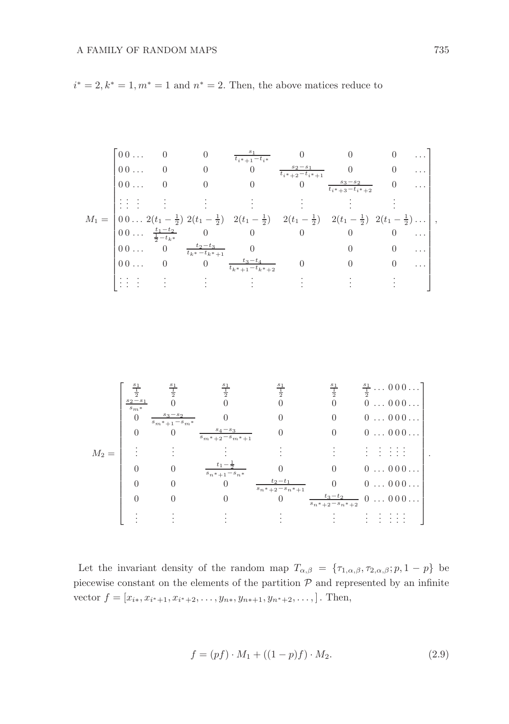$i^* = 2, k^* = 1, m^* = 1$  and  $n^* = 2$ . Then, the above matices reduce to

$$
M_1 = \begin{bmatrix} 0 & 0 & \dots & 0 & 0 & \frac{s_1}{t_{i^*+1}-t_{i^*}} & 0 & 0 & 0 & \dots \\ 0 & 0 & \dots & 0 & 0 & 0 & \frac{s_2-s_1}{t_{i^*+2}-t_{i^*+1}} & 0 & 0 & \dots \\ 0 & \dots & 0 & 0 & 0 & 0 & \frac{s_3-s_2}{t_{i^*+3}-t_{i^*+2}} & 0 & \dots \\ \vdots & \vdots & \vdots & \vdots & \vdots & \vdots & \vdots & \vdots & \vdots \\ 0 & 0 & \dots & 2(t_1-\frac{1}{2}) & 2(t_1-\frac{1}{2}) & 2(t_1-\frac{1}{2}) & 2(t_1-\frac{1}{2}) & 2(t_1-\frac{1}{2}) & 2(t_1-\frac{1}{2}) \dots \\ 0 & \dots & \frac{t_1-t_2}{2-t_{k^*}} & 0 & 0 & 0 & 0 & \dots \\ 0 & 0 & \dots & 0 & \frac{t_2-t_3}{t_{k^*}-t_{k^*+1}} & 0 & 0 & 0 & \dots \\ 0 & 0 & \dots & 0 & 0 & \frac{t_3-t_4}{t_{k^*+1}-t_{k^*+2}} & 0 & 0 & 0 & \dots \\ \vdots & \vdots & \vdots & \vdots & \vdots & \vdots & \vdots & \vdots \end{bmatrix},
$$

$$
M_2=\left[\begin{array}{ccccc} \frac{s_1}{2} & \frac{s_1}{2} & \frac{s_1}{2} & \frac{s_1}{2} & \frac{s_1}{2} & \frac{s_1}{2} & \frac{s_1}{2} & \frac{s_1}{2} & \cdots 000 \ldots \\ \frac{s_2-s_1}{s_{m^*}} & 0 & 0 & 0 & 0 & 0 & \cdots 000 \ldots \\ 0 & \frac{s_3-s_2}{s_{m^*+1}-s_{m^*}} & 0 & 0 & 0 & 0 & \cdots 000 \ldots \\ \vdots & \vdots & \vdots & \vdots & \vdots & \vdots & \vdots & \vdots & \vdots \\ 0 & 0 & \frac{t_1-\frac{1}{2}}{s_{m^*+1}-s_{n^*}} & 0 & 0 & 0 & \cdots 000 \ldots \\ 0 & 0 & 0 & \frac{t_2-t_1}{s_{n^*+2}-s_{n^*+1}} & 0 & 0 & \cdots 000 \ldots \\ 0 & 0 & 0 & 0 & \frac{t_2-t_1}{s_{n^*+2}-s_{n^*+1}} & 0 & 0 & \cdots 000 \ldots \\ \vdots & \vdots & \vdots & \vdots & \vdots & \vdots & \vdots & \vdots & \vdots \\ \end{array}\right].
$$

Let the invariant density of the random map  $T_{\alpha,\beta} = \{\tau_{1,\alpha,\beta}, \tau_{2,\alpha,\beta}; p, 1-p\}$  be piecewise constant on the elements of the partition  $P$  and represented by an infinite vector  $f = [x_{i*}, x_{i*+1}, x_{i*+2}, \dots, y_{n*}, y_{n*+1}, y_{n*+2}, \dots, ]$ . Then,

$$
f = (pf) \cdot M_1 + ((1 - p)f) \cdot M_2. \tag{2.9}
$$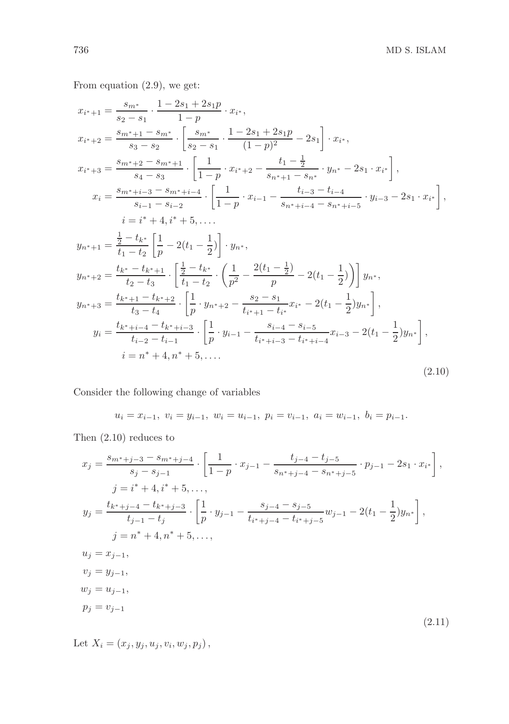From equation (2.9), we get:

$$
x_{i^*+1} = \frac{s_{m^*}}{s_2 - s_1} \cdot \frac{1 - 2s_1 + 2s_1 p}{1 - p} \cdot x_i^*,
$$
  
\n
$$
x_{i^*+2} = \frac{s_{m^*+1} - s_{m^*}}{s_3 - s_2} \cdot \left[ \frac{s_{m^*}}{s_2 - s_1} \cdot \frac{1 - 2s_1 + 2s_1 p}{(1 - p)^2} - 2s_1 \right] \cdot x_{i^*},
$$
  
\n
$$
x_{i^*+3} = \frac{s_{m^*+2} - s_{m^*+1}}{s_4 - s_3} \cdot \left[ \frac{1}{1 - p} \cdot x_{i^*+2} - \frac{t_1 - \frac{1}{2}}{s_{n^*+1} - s_{n^*}} \cdot y_{n^*} - 2s_1 \cdot x_{i^*} \right],
$$
  
\n
$$
x_i = \frac{s_{m^*+i-3} - s_{m^*+i-4}}{s_{i-1} - s_{i-2}} \cdot \left[ \frac{1}{1 - p} \cdot x_{i-1} - \frac{t_{i-3} - t_{i-4}}{s_{n^*+i-4} - s_{n^*+i-5}} \cdot y_{i-3} - 2s_1 \cdot x_{i^*} \right],
$$
  
\n
$$
i = i^* + 4, i^* + 5, \dots
$$
  
\n
$$
y_{n^*+1} = \frac{\frac{1}{2} - t_k^*}{t_1 - t_2} \left[ \frac{1}{p} - 2(t_1 - \frac{1}{2}) \right] \cdot y_{n^*},
$$
  
\n
$$
y_{n^*+2} = \frac{t_k^* - t_{k^*+1}}{t_2 - t_3} \cdot \left[ \frac{\frac{1}{2} - t_k^*}{t_1 - t_2} \cdot \left( \frac{1}{p^2} - \frac{2(t_1 - \frac{1}{2})}{p} - 2(t_1 - \frac{1}{2}) \right) \right] y_{n^*},
$$
  
\n
$$
y_{n^*+3} = \frac{t_{k^*+1} - t_{k^*+2}}{t_3 - t_4} \cdot \left[ \frac{1}{p} \cdot y_{n^*+2} - \frac{s_2 - s_
$$

Consider the following change of variables

$$
u_i = x_{i-1}, \ v_i = y_{i-1}, \ w_i = u_{i-1}, \ p_i = v_{i-1}, \ a_i = w_{i-1}, \ b_i = p_{i-1}.
$$

Then (2.10) reduces to

$$
x_{j} = \frac{s_{m^{*}+j-3} - s_{m^{*}+j-4}}{s_{j} - s_{j-1}} \cdot \left[ \frac{1}{1-p} \cdot x_{j-1} - \frac{t_{j-4} - t_{j-5}}{s_{n^{*}+j-4} - s_{n^{*}+j-5}} \cdot p_{j-1} - 2s_{1} \cdot x_{i^{*}} \right],
$$
  
\n
$$
j = i^{*} + 4, i^{*} + 5, ...,
$$
  
\n
$$
y_{j} = \frac{t_{k^{*}+j-4} - t_{k^{*}+j-3}}{t_{j-1} - t_{j}} \cdot \left[ \frac{1}{p} \cdot y_{j-1} - \frac{s_{j-4} - s_{j-5}}{t_{i^{*}+j-4} - t_{i^{*}+j-5}} w_{j-1} - 2(t_{1} - \frac{1}{2}) y_{n^{*}} \right],
$$
  
\n
$$
j = n^{*} + 4, n^{*} + 5, ...,
$$
  
\n
$$
u_{j} = x_{j-1},
$$
  
\n
$$
v_{j} = y_{j-1},
$$
  
\n
$$
w_{j} = u_{j-1},
$$
  
\n
$$
p_{j} = v_{j-1}
$$
  
\n(2.11)

Let  $X_i = (x_j, y_j, u_j, v_i, w_j, p_j),$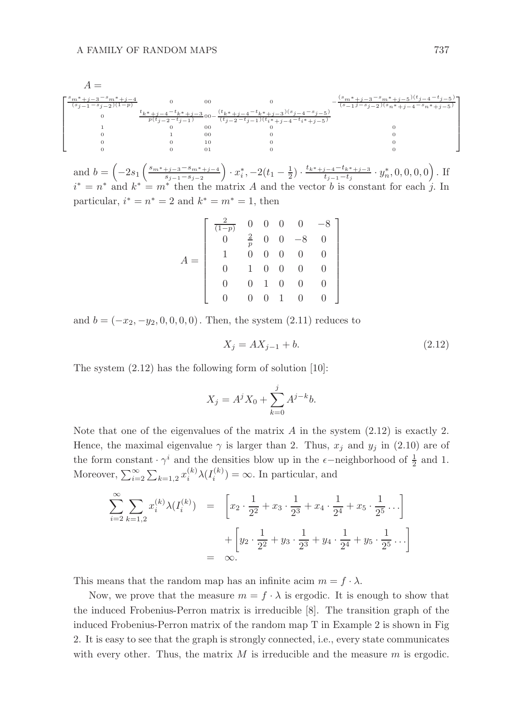

and  $b = \left(-2s_1\left(\frac{s_{m^*+j-3}-s_{m^*+j-4}}{s_{j-1}-s_{j-2}}\right)\right)$  $\frac{(-i+1)(-3-8m^*+j-4)}{s_{j-1}-s_{j-2}}$   $\cdot x_i^*$ ,  $-2(t_1-\frac{1}{2}) \cdot \frac{t_{k^*+j-4}-t_{k^*+j-3}}{t_{j-1}-t_j}$  $\frac{y_{j-4}-t_{k^*+j-3}}{t_{j-1}-t_j}\cdot y_n^*,0,0,0,0\big)\, . \text{ If }\,$  $i^* = n^*$  and  $k^* = m^*$  then the matrix A and the vector b is constant for each j. In particular,  $i^* = n^* = 2$  and  $k^* = m^* = 1$ , then

$$
A = \left[ \begin{array}{cccc} \frac{2}{(1-p)} & 0 & 0 & 0 & 0 & -8 \\ 0 & \frac{2}{p} & 0 & 0 & -8 & 0 \\ 1 & 0 & 0 & 0 & 0 & 0 \\ 0 & 1 & 0 & 0 & 0 & 0 \\ 0 & 0 & 1 & 0 & 0 & 0 \\ 0 & 0 & 0 & 1 & 0 & 0 \end{array} \right]
$$

and  $b = (-x_2, -y_2, 0, 0, 0, 0)$ . Then, the system  $(2.11)$  reduces to

$$
X_j = AX_{j-1} + b. \t\t(2.12)
$$

The system (2.12) has the following form of solution [10]:

$$
X_j = A^j X_0 + \sum_{k=0}^j A^{j-k} b.
$$

Note that one of the eigenvalues of the matrix  $A$  in the system  $(2.12)$  is exactly 2. Hence, the maximal eigenvalue  $\gamma$  is larger than 2. Thus,  $x_j$  and  $y_j$  in (2.10) are of the form constant  $\cdot \gamma^i$  and the densities blow up in the  $\epsilon$ −neighborhood of  $\frac{1}{2}$  and 1. Moreover,  $\sum_{i=2}^{\infty} \sum_{k=1,2} x_i^{(k)} \lambda(I_i^{(k)}) = \infty$ . In particular, and

$$
\sum_{i=2}^{\infty} \sum_{k=1,2} x_i^{(k)} \lambda(I_i^{(k)}) = \left[ x_2 \cdot \frac{1}{2^2} + x_3 \cdot \frac{1}{2^3} + x_4 \cdot \frac{1}{2^4} + x_5 \cdot \frac{1}{2^5} \cdots \right] + \left[ y_2 \cdot \frac{1}{2^2} + y_3 \cdot \frac{1}{2^3} + y_4 \cdot \frac{1}{2^4} + y_5 \cdot \frac{1}{2^5} \cdots \right]
$$
  
=  $\infty$ .

This means that the random map has an infinite acim  $m = f \cdot \lambda$ .

Now, we prove that the measure  $m = f \cdot \lambda$  is ergodic. It is enough to show that the induced Frobenius-Perron matrix is irreducible [8]. The transition graph of the induced Frobenius-Perron matrix of the random map T in Example 2 is shown in Fig 2. It is easy to see that the graph is strongly connected, i.e., every state communicates with every other. Thus, the matrix  $M$  is irreducible and the measure  $m$  is ergodic.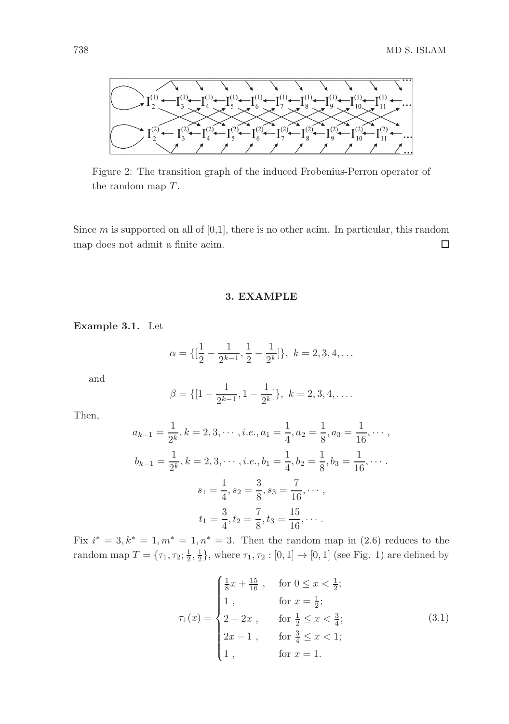

Figure 2: The transition graph of the induced Frobenius-Perron operator of the random map  $T$ .

Since  $m$  is supported on all of  $[0,1]$ , there is no other acim. In particular, this random map does not admit a finite acim.  $\Box$ 

3. EXAMPLE

Example 3.1. Let

$$
\alpha = \{ \left[\frac{1}{2} - \frac{1}{2^{k-1}}, \frac{1}{2} - \frac{1}{2^k} \right] \}, \ k = 2, 3, 4, \dots
$$

and

$$
\beta = \{ [1 - \frac{1}{2^{k-1}}, 1 - \frac{1}{2^k}] \}, \ k = 2, 3, 4, \dots
$$

Then,

$$
a_{k-1} = \frac{1}{2^k}, k = 2, 3, \cdots, i.e., a_1 = \frac{1}{4}, a_2 = \frac{1}{8}, a_3 = \frac{1}{16}, \cdots,
$$
  

$$
b_{k-1} = \frac{1}{2^k}, k = 2, 3, \cdots, i.e., b_1 = \frac{1}{4}, b_2 = \frac{1}{8}, b_3 = \frac{1}{16}, \cdots.
$$
  

$$
s_1 = \frac{1}{4}, s_2 = \frac{3}{8}, s_3 = \frac{7}{16}, \cdots,
$$
  

$$
t_1 = \frac{3}{4}, t_2 = \frac{7}{8}, t_3 = \frac{15}{16}, \cdots.
$$

Fix  $i^* = 3, k^* = 1, m^* = 1, n^* = 3$ . Then the random map in (2.6) reduces to the random map  $T = \{\tau_1, \tau_2; \frac{1}{2}, \frac{1}{2}\},\$  where  $\tau_1, \tau_2 : [0, 1] \to [0, 1]$  (see Fig. 1) are defined by

$$
\tau_1(x) = \begin{cases}\n\frac{1}{8}x + \frac{15}{16}, & \text{for } 0 \le x < \frac{1}{2}; \\
1, & \text{for } x = \frac{1}{2}; \\
2 - 2x, & \text{for } \frac{1}{2} \le x < \frac{3}{4}; \\
2x - 1, & \text{for } \frac{3}{4} \le x < 1; \\
1, & \text{for } x = 1.\n\end{cases}
$$
\n(3.1)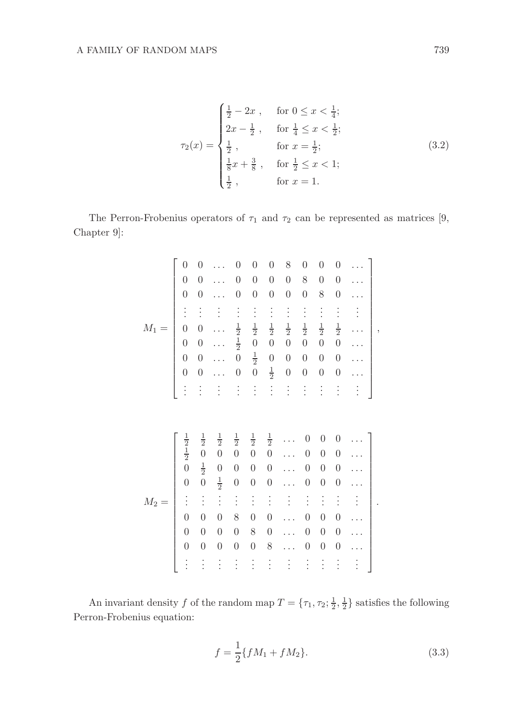$$
\tau_2(x) = \begin{cases}\n\frac{1}{2} - 2x, & \text{for } 0 \le x < \frac{1}{4}; \\
2x - \frac{1}{2}, & \text{for } \frac{1}{4} \le x < \frac{1}{2}; \\
\frac{1}{2}, & \text{for } x = \frac{1}{2}; \\
\frac{1}{8}x + \frac{3}{8}, & \text{for } \frac{1}{2} \le x < 1; \\
\frac{1}{2}, & \text{for } x = 1.\n\end{cases}
$$
\n(3.2)

The Perron-Frobenius operators of  $\tau_1$  and  $\tau_2$  can be represented as matrices [9, Chapter 9]:

|         | $\boldsymbol{0}$                                                                                                                     | $\boldsymbol{0}$                                                                                                                                   |                                                                                                                                                        | $\overline{0}$                                                                                                                             | $\boldsymbol{0}$                                                                                                                           | $\boldsymbol{0}$                                                                                                                           | 8                    | $\boldsymbol{0}$                                                                                                                                               | $\boldsymbol{0}$                                                                                                                                                 | $\boldsymbol{0}$                                                                                                                                               |                      |   |
|---------|--------------------------------------------------------------------------------------------------------------------------------------|----------------------------------------------------------------------------------------------------------------------------------------------------|--------------------------------------------------------------------------------------------------------------------------------------------------------|--------------------------------------------------------------------------------------------------------------------------------------------|--------------------------------------------------------------------------------------------------------------------------------------------|--------------------------------------------------------------------------------------------------------------------------------------------|----------------------|----------------------------------------------------------------------------------------------------------------------------------------------------------------|------------------------------------------------------------------------------------------------------------------------------------------------------------------|----------------------------------------------------------------------------------------------------------------------------------------------------------------|----------------------|---|
|         | $\boldsymbol{0}$                                                                                                                     | $\overline{0}$                                                                                                                                     |                                                                                                                                                        | $\boldsymbol{0}$                                                                                                                           | $\boldsymbol{0}$                                                                                                                           | $\boldsymbol{0}$                                                                                                                           | $\boldsymbol{0}$     | 8                                                                                                                                                              | $\overline{0}$                                                                                                                                                   | $\overline{0}$                                                                                                                                                 |                      |   |
|         | $\boldsymbol{0}$                                                                                                                     | $\boldsymbol{0}$                                                                                                                                   |                                                                                                                                                        | $\boldsymbol{0}$                                                                                                                           | $\boldsymbol{0}$                                                                                                                           | $\boldsymbol{0}$                                                                                                                           | $\boldsymbol{0}$     | $\boldsymbol{0}$                                                                                                                                               | 8                                                                                                                                                                | $\boldsymbol{0}$                                                                                                                                               |                      |   |
|         | $\vdots$                                                                                                                             | $\vdots$                                                                                                                                           | $\vdots$                                                                                                                                               | $\vdots$                                                                                                                                   | $\vdots$                                                                                                                                   | $\vdots$                                                                                                                                   | $\vdots$             | $\vdots$                                                                                                                                                       | $\vdots$                                                                                                                                                         | $\vdots$                                                                                                                                                       |                      |   |
| $M_1$   | $\overline{0}$                                                                                                                       | $\overline{0}$                                                                                                                                     |                                                                                                                                                        | $\frac{1}{2}$                                                                                                                              | $\frac{1}{2}$                                                                                                                              | $\frac{1}{2}$                                                                                                                              | $\frac{1}{2}$        | $\frac{1}{2}$                                                                                                                                                  | $\frac{1}{2}$                                                                                                                                                    | $\frac{1}{2}$                                                                                                                                                  |                      | , |
|         | $\begin{array}{c} 0 \\ 0 \end{array}$                                                                                                | $\boldsymbol{0}$                                                                                                                                   |                                                                                                                                                        | $\frac{1}{2}$                                                                                                                              | $\overline{0}$                                                                                                                             | $\boldsymbol{0}$                                                                                                                           | $\overline{0}$       | $\overline{0}$                                                                                                                                                 | $\overline{0}$                                                                                                                                                   | $\overline{0}$                                                                                                                                                 |                      |   |
|         |                                                                                                                                      | $\overline{0}$                                                                                                                                     |                                                                                                                                                        | $\overline{0}$                                                                                                                             | $\frac{1}{2}$                                                                                                                              | $\boldsymbol{0}$                                                                                                                           | $\boldsymbol{0}$     | $\boldsymbol{0}$                                                                                                                                               | $\boldsymbol{0}$                                                                                                                                                 | $\overline{0}$                                                                                                                                                 |                      |   |
|         | $\overline{0}$                                                                                                                       | $\overline{0}$                                                                                                                                     |                                                                                                                                                        | $\boldsymbol{0}$                                                                                                                           | $\overline{0}$                                                                                                                             | $\frac{1}{2}$                                                                                                                              | $\overline{0}$       | $\boldsymbol{0}$                                                                                                                                               | $\boldsymbol{0}$                                                                                                                                                 | $\overline{0}$                                                                                                                                                 |                      |   |
|         | $\vdots$                                                                                                                             | $\vdots$                                                                                                                                           | $\vdots$                                                                                                                                               | $\vdots$                                                                                                                                   | $\vdots$                                                                                                                                   | $\vdots$                                                                                                                                   | $\vdots$             | $\vdots$                                                                                                                                                       | $\vdots$                                                                                                                                                         | $\vdots$                                                                                                                                                       | $\vdots$             |   |
|         |                                                                                                                                      |                                                                                                                                                    |                                                                                                                                                        |                                                                                                                                            |                                                                                                                                            |                                                                                                                                            |                      |                                                                                                                                                                |                                                                                                                                                                  |                                                                                                                                                                |                      |   |
| $M_2 =$ | $\frac{1}{2}$ $\frac{1}{2}$ $0$<br>$\overline{0}$<br>$\frac{1}{2}$<br>$\overline{0}$<br>$\overline{0}$<br>$\overline{0}$<br>$\vdots$ | $\frac{1}{2}$<br>$\overline{0}$<br>$\frac{1}{2}$<br>$\overline{0}$<br>$\vdots$<br>$\boldsymbol{0}$<br>$\overline{0}$<br>$\overline{0}$<br>$\vdots$ | $\frac{1}{2}$<br>$\overline{0}$<br>$\boldsymbol{0}$<br>$\frac{1}{2}$<br>$\vdots$<br>$\boldsymbol{0}$<br>$\boldsymbol{0}$<br>$\overline{0}$<br>$\vdots$ | $\frac{1}{2}$<br>$\overline{0}$<br>$\boldsymbol{0}$<br>$\boldsymbol{0}$<br>$\vdots$<br>8<br>$\boldsymbol{0}$<br>$\overline{0}$<br>$\vdots$ | $\frac{1}{2}$<br>$\overline{0}$<br>$\boldsymbol{0}$<br>$\boldsymbol{0}$<br>$\vdots$<br>$\overline{0}$<br>8<br>$\boldsymbol{0}$<br>$\vdots$ | $\frac{1}{2}$<br>$\overline{0}$<br>$\boldsymbol{0}$<br>$\boldsymbol{0}$<br>$\vdots$<br>$\overline{0}$<br>$\boldsymbol{0}$<br>8<br>$\vdots$ | $\vdots$<br>$\vdots$ | $\overline{0}$<br>$\boldsymbol{0}$<br>$\boldsymbol{0}$<br>$\boldsymbol{0}$<br>$\vdots$<br>$\boldsymbol{0}$<br>$\boldsymbol{0}$<br>$\boldsymbol{0}$<br>$\vdots$ | $\boldsymbol{0}$<br>$\boldsymbol{0}$<br>$\boldsymbol{0}$<br>$\boldsymbol{0}$<br>$\vdots$<br>$\boldsymbol{0}$<br>$\boldsymbol{0}$<br>$\boldsymbol{0}$<br>$\vdots$ | $\boldsymbol{0}$<br>$\overline{0}$<br>$\boldsymbol{0}$<br>$\boldsymbol{0}$<br>$\vdots$<br>$\boldsymbol{0}$<br>$\boldsymbol{0}$<br>$\boldsymbol{0}$<br>$\vdots$ | $\vdots$<br>$\vdots$ |   |

An invariant density f of the random map  $T = \{\tau_1, \tau_2; \frac{1}{2}, \frac{1}{2}\}\$  satisfies the following Perron-Frobenius equation:

$$
f = \frac{1}{2} \{ fM_1 + fM_2 \}.
$$
 (3.3)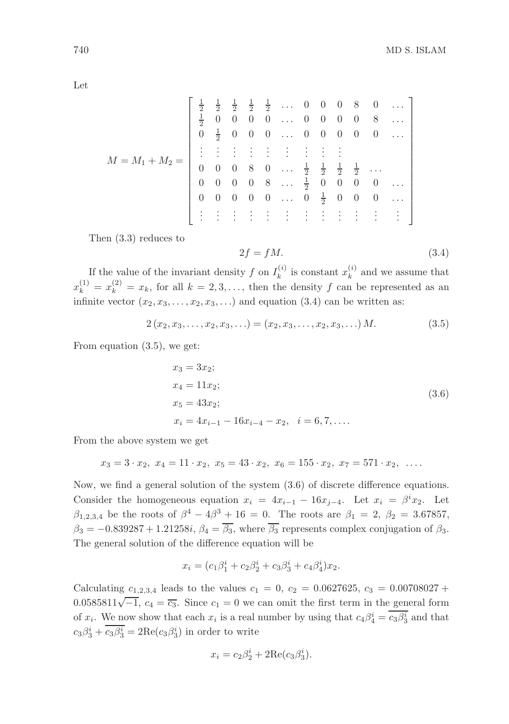Let

| $M = M_1 + M_2 =$ |               |                |  |  |  |  | $\frac{1}{2}$ $\frac{1}{2}$ $\frac{1}{2}$ $\frac{1}{2}$ $\ldots$ 0 0 0 8 0<br>0 0 0 0  0 0 0 0 8                                                                                                                                                                                                  |  |
|-------------------|---------------|----------------|--|--|--|--|---------------------------------------------------------------------------------------------------------------------------------------------------------------------------------------------------------------------------------------------------------------------------------------------------|--|
|                   | $\frac{1}{2}$ | $\overline{0}$ |  |  |  |  |                                                                                                                                                                                                                                                                                                   |  |
|                   |               |                |  |  |  |  | $0 \frac{1}{2}$ 0 0 0  0 0 0 0 0                                                                                                                                                                                                                                                                  |  |
|                   |               |                |  |  |  |  | $\begin{array}{ccccccccc} \vdots & \vdots & \vdots & \vdots & \vdots & \vdots & \vdots & \vdots & \vdots & \vdots \\ 0 & 0 & 0 & 8 & 0 & \dots & \frac{1}{2} & \frac{1}{2} & \frac{1}{2} & \frac{1}{2} & \dots \\ 0 & 0 & 0 & 0 & 8 & \dots & \frac{1}{2} & 0 & 0 & 0 & 0 & \dots \\ \end{array}$ |  |
|                   |               |                |  |  |  |  |                                                                                                                                                                                                                                                                                                   |  |
|                   |               |                |  |  |  |  |                                                                                                                                                                                                                                                                                                   |  |
|                   |               |                |  |  |  |  | $0 \t 0 \t 0 \t 0 \t \ldots \t 0 \t \frac{1}{2} \t 0 \t 0 \t 0 \t \ldots$                                                                                                                                                                                                                         |  |
|                   |               |                |  |  |  |  | $\frac{1}{2}$ . The set of $\frac{1}{2}$ is the set of $\frac{1}{2}$                                                                                                                                                                                                                              |  |

Then (3.3) reduces to

$$
2f = fM.\t\t(3.4)
$$

If the value of the invariant density f on  $I_k^{(i)}$  is constant  $x_k^{(i)}$  and we assume that  $x_k^{(1)} = x_k^{(2)} = x_k$ , for all  $k = 2, 3, \ldots$ , then the density f can be represented as an infinite vector  $(x_2, x_3, \ldots, x_2, x_3, \ldots)$  and equation (3.4) can be written as:

$$
2(x_2, x_3, \dots, x_2, x_3, \dots) = (x_2, x_3, \dots, x_2, x_3, \dots) M. \tag{3.5}
$$

From equation (3.5), we get:

$$
x_3 = 3x_2;
$$
  
\n
$$
x_4 = 11x_2;
$$
  
\n
$$
x_5 = 43x_2;
$$
  
\n
$$
x_i = 4x_{i-1} - 16x_{i-4} - x_2, \quad i = 6, 7, ....
$$
  
\n(3.6)

From the above system we get

$$
x_3 = 3 \cdot x_2, \ x_4 = 11 \cdot x_2, \ x_5 = 43 \cdot x_2, \ x_6 = 155 \cdot x_2, \ x_7 = 571 \cdot x_2, \ \ \ldots
$$

Now, we find a general solution of the system (3.6) of discrete difference equations. Consider the homogeneous equation  $x_i = 4x_{i-1} - 16x_{j-4}$ . Let  $x_i = \beta^i x_2$ . Let  $β_{1,2,3,4}$  be the roots of  $β^4 - 4β^3 + 16 = 0$ . The roots are  $β_1 = 2$ ,  $β_2 = 3.67857$ ,  $\beta_3 = -0.839287 + 1.21258i, \beta_4 = \overline{\beta_3}$ , where  $\overline{\beta_3}$  represents complex conjugation of  $\beta_3$ . The general solution of the difference equation will be

$$
x_i = (c_1\beta_1^i + c_2\beta_2^i + c_3\beta_3^i + c_4\beta_4^i)x_2.
$$

Calculating  $c_{1,2,3,4}$  leads to the values  $c_1 = 0$ ,  $c_2 = 0.0627625$ ,  $c_3 = 0.00708027 +$ 0.0585811 $\sqrt{-1}$ ,  $c_4 = \overline{c_3}$ . Since  $c_1 = 0$  we can omit the first term in the general form of  $x_i$ . We now show that each  $x_i$  is a real number by using that  $c_4\beta_4^i = \overline{c_3\beta_3^i}$  and that  $c_3\beta_3^i + \overline{c_3\beta_3^i} = 2\text{Re}(c_3\beta_3^i)$  in order to write

$$
x_i = c_2 \beta_2^i + 2 \text{Re}(c_3 \beta_3^i).
$$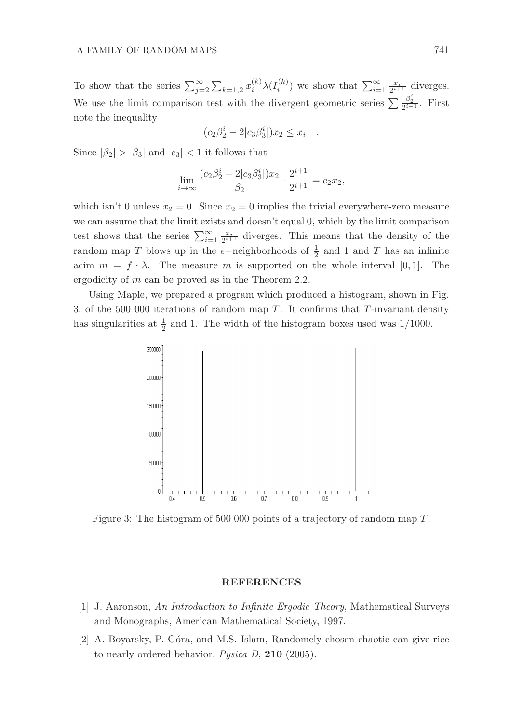To show that the series  $\sum_{j=2}^{\infty} \sum_{k=1,2} x_i^{(k)} \lambda(I_i^{(k)})$  we show that  $\sum_{i=1}^{\infty} \frac{x_i}{2^{i+1}}$  diverges. We use the limit comparison test with the divergent geometric series  $\sum \frac{\beta_2^i}{2^{i+1}}$ . First note the inequality

$$
(c_2\beta_2^i - 2|c_3\beta_3^i|)x_2 \le x_i
$$

.

Since  $|\beta_2| > |\beta_3|$  and  $|c_3| < 1$  it follows that

$$
\lim_{i \to \infty} \frac{(c_2\beta_2^i - 2|c_3\beta_3^i|)x_2}{\beta_2} \cdot \frac{2^{i+1}}{2^{i+1}} = c_2x_2,
$$

which isn't 0 unless  $x_2 = 0$ . Since  $x_2 = 0$  implies the trivial everywhere-zero measure we can assume that the limit exists and doesn't equal 0, which by the limit comparison test shows that the series  $\sum_{i=1}^{\infty} \frac{x_i}{2^{i+1}}$  diverges. This means that the density of the random map T blows up in the  $\epsilon$ −neighborhoods of  $\frac{1}{2}$  and 1 and T has an infinite acim  $m = f \cdot \lambda$ . The measure m is supported on the whole interval [0, 1]. The ergodicity of m can be proved as in the Theorem 2.2.

Using Maple, we prepared a program which produced a histogram, shown in Fig. 3, of the 500 000 iterations of random map  $T$ . It confirms that  $T$ -invariant density has singularities at  $\frac{1}{2}$  and 1. The width of the histogram boxes used was 1/1000.



Figure 3: The histogram of 500 000 points of a trajectory of random map T.

#### **REFERENCES**

- [1] J. Aaronson, An Introduction to Infinite Ergodic Theory, Mathematical Surveys and Monographs, American Mathematical Society, 1997.
- [2] A. Boyarsky, P. G´ora, and M.S. Islam, Randomely chosen chaotic can give rice to nearly ordered behavior, Pysica D, 210 (2005).